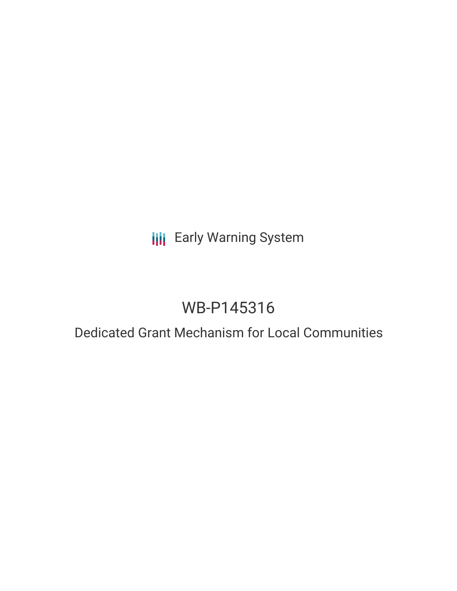# **III** Early Warning System

# WB-P145316

### Dedicated Grant Mechanism for Local Communities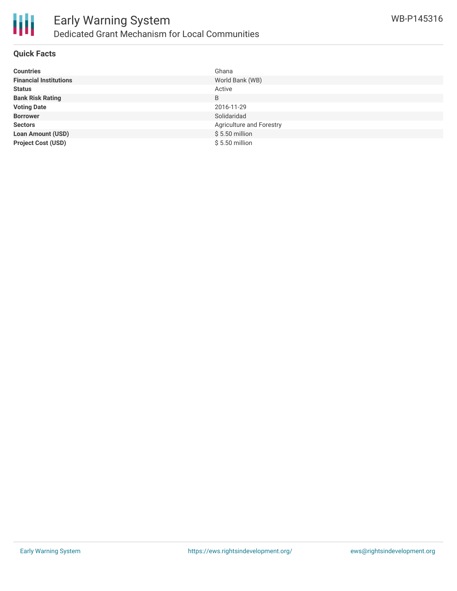

#### **Quick Facts**

| <b>Countries</b>              | Ghana                    |
|-------------------------------|--------------------------|
| <b>Financial Institutions</b> | World Bank (WB)          |
| <b>Status</b>                 | Active                   |
| <b>Bank Risk Rating</b>       | B                        |
| <b>Voting Date</b>            | 2016-11-29               |
| <b>Borrower</b>               | Solidaridad              |
| <b>Sectors</b>                | Agriculture and Forestry |
| <b>Loan Amount (USD)</b>      | $$5.50$ million          |
| <b>Project Cost (USD)</b>     | $$5.50$ million          |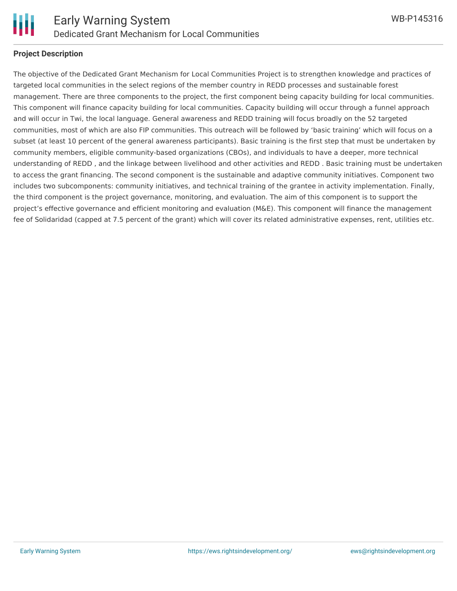

#### **Project Description**

The objective of the Dedicated Grant Mechanism for Local Communities Project is to strengthen knowledge and practices of targeted local communities in the select regions of the member country in REDD processes and sustainable forest management. There are three components to the project, the first component being capacity building for local communities. This component will finance capacity building for local communities. Capacity building will occur through a funnel approach and will occur in Twi, the local language. General awareness and REDD training will focus broadly on the 52 targeted communities, most of which are also FIP communities. This outreach will be followed by 'basic training' which will focus on a subset (at least 10 percent of the general awareness participants). Basic training is the first step that must be undertaken by community members, eligible community-based organizations (CBOs), and individuals to have a deeper, more technical understanding of REDD , and the linkage between livelihood and other activities and REDD . Basic training must be undertaken to access the grant financing. The second component is the sustainable and adaptive community initiatives. Component two includes two subcomponents: community initiatives, and technical training of the grantee in activity implementation. Finally, the third component is the project governance, monitoring, and evaluation. The aim of this component is to support the project's effective governance and efficient monitoring and evaluation (M&E). This component will finance the management fee of Solidaridad (capped at 7.5 percent of the grant) which will cover its related administrative expenses, rent, utilities etc.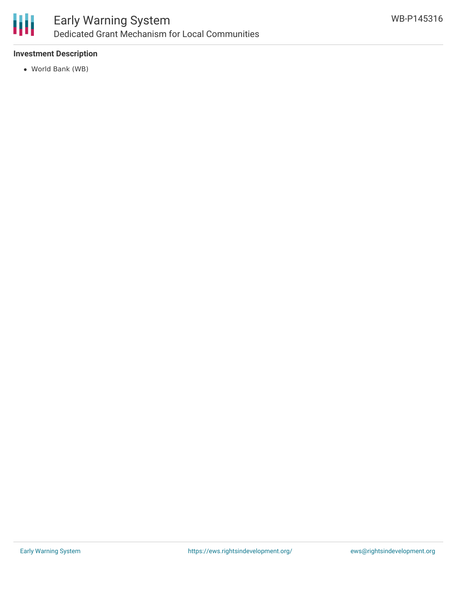

#### **Investment Description**

World Bank (WB)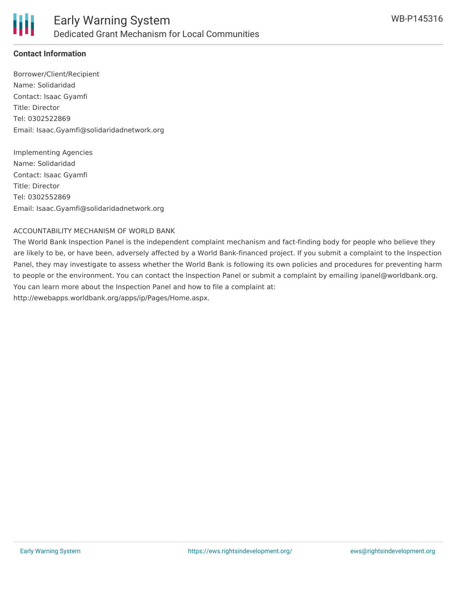

#### **Contact Information**

Borrower/Client/Recipient Name: Solidaridad Contact: Isaac Gyamfi Title: Director Tel: 0302522869 Email: Isaac.Gyamfi@solidaridadnetwork.org

Implementing Agencies Name: Solidaridad Contact: Isaac Gyamfi Title: Director Tel: 0302552869 Email: Isaac.Gyamfi@solidaridadnetwork.org

#### ACCOUNTABILITY MECHANISM OF WORLD BANK

The World Bank Inspection Panel is the independent complaint mechanism and fact-finding body for people who believe they are likely to be, or have been, adversely affected by a World Bank-financed project. If you submit a complaint to the Inspection Panel, they may investigate to assess whether the World Bank is following its own policies and procedures for preventing harm to people or the environment. You can contact the Inspection Panel or submit a complaint by emailing ipanel@worldbank.org. You can learn more about the Inspection Panel and how to file a complaint at: http://ewebapps.worldbank.org/apps/ip/Pages/Home.aspx.